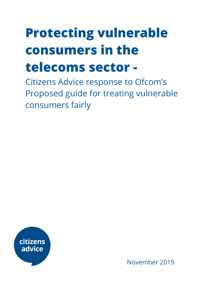# **Protecting vulnerable consumers in the**

## **telecoms sector -**

Citizens Advice response to Ofcom's Proposed guide for treating vulnerable consumers fairly



November 2019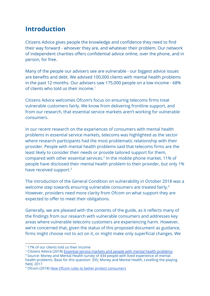### **Introduction**

Citizens Advice gives people the knowledge and confidence they need to find their way forward - whoever they are, and whatever their problem. Our network of independent charities offers confidential advice online, over the phone, and in person, for free.

Many of the people our advisers see are vulnerable - our biggest advice issues are benefits and debt. We advised 100,000 clients with mental health problems in the past 12 months. Our advisers saw 175,000 people on a low income - 68% of clients who told us their income.<sup>1</sup>

Citizens Advice welcomes Ofcom's focus on ensuring telecoms firms treat vulnerable customers fairly. We know from delivering frontline support, and from our research, that essential service markets aren't working for vulnerable consumers.

In our recent research on the experiences of consumers with mental health problems in essential service markets, telecoms was highlighted as the sector where research participants had the most problematic relationship with their provider. People with mental health problems said that telecoms firms are the least likely to consider their needs or provide tailored support for them, compared with other essential services.<sup>2</sup> In the mobile phone market, 11% of people have disclosed their mental health problem to their provider, but only 1% have received support.<sup>3</sup>

The introduction of the General Condition on vulnerability in October 2018 was a welcome step towards ensuring vulnerable consumers are treated fairly.<sup>4</sup> However, providers need more clarity from Ofcom on what support they are expected to offer to meet their obligations.

Generally, we are pleased with the contents of the guide, as it reflects many of the findings from our research with vulnerable consumers and addresses key areas where vulnerable telecoms customers are experiencing harm. However, we're concerned that, given the status of this proposed document as guidance, firms might choose not to act on it, or might make only superficial changes. We

<sup>&</sup>lt;sup>1</sup> 17% of our clients told us their income

<sup>&</sup>lt;sup>2</sup> Citizens Advice (2018) Essential service markets and people with mental health [problems](https://www.citizensadvice.org.uk/Global/CitizensAdvice/Consumer%20publications/Essential%20service%20markets%20and%20people%20with%20mental%20health%20problems_Report%20from%20BritainThinks%20Final.pdf)

<sup>&</sup>lt;sup>3</sup> Source: Money and Mental Health survey of 434 people with lived experience of mental health problems. Base for this question: 335; Money and Mental Health, Levelling the playing field, 2017

<sup>4</sup> Ofcom (2018) New Ofcom rules to better protect [consumers](https://www.ofcom.org.uk/about-ofcom/latest/features-and-news/new-rules-protect-consumers)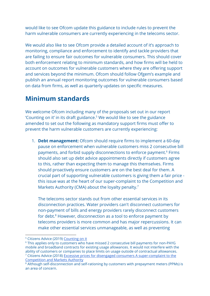would like to see Ofcom update this guidance to include rules to prevent the harm vulnerable consumers are currently experiencing in the telecoms sector.

We would also like to see Ofcom provide a detailed account of it's approach to monitoring, compliance and enforcement to identify and tackle providers that are failing to ensure fair outcomes for vulnerable consumers. This should cover both enforcement relating to minimum standards, and how firms will be held to account on outcomes for vulnerable customers where they are offering support and services beyond the minimum. Ofcom should follow Ofgem's example and publish an annual report monitoring outcomes for vulnerable consumers based on data from firms, as well as quarterly updates on specific measures.

## **Minimum standards**

We welcome Ofcom including many of the proposals set out in our report 'Counting on it' in its draft guidance.<sup>5</sup> We would like to see the guidance amended to set out the followingas mandatory support firms must offer to prevent the harm vulnerable customers are currently experiencing:

1. **Debt management:** Ofcom should require firms to implement a 60-day pause on enforcement when vulnerable customers miss 2 consecutive bill payments, and forbid supply disconnections to enforce payment.<sup>6</sup> Firms should also set up debt advice appointments directly if customers agree to this, rather than expecting them to manage this themselves. Firms should proactively ensure customers are on the best deal for them. A crucial part of supporting vulnerable customers is giving them a fair price this issue was at the heart of our super-complaint to the Competition and Markets Authority (CMA) about the loyalty penalty.<sup>7</sup>

The telecoms sector stands out from other essential services in its disconnection practices. Water providers can't disconnect customers for non-payment of bills and energy providers rarely disconnect customers for debt.<sup>8</sup> However, disconnection as a tool to enforce payment by telecoms providers is more common and has major repercussions. It can make other essential services unmanageable, as well as preventing

<sup>&</sup>lt;sup>5</sup> Citizens Advice (2019) [Counting](https://www.citizensadvice.org.uk/about-us/policy/policy-research-topics/consumer-policy-research/consumer-policy-research/counting-on-it-cross-sector-minimum-standards-of-support-for-people-with-mental-health-problems/) on it

<sup>&</sup>lt;sup>6</sup> This applies only to customers who have missed 2 consecutive bill payments for non-PAYG mobile and broadband contracts for existing usage allowances. It would not interfere with the ability of customers or companies to place limits on usage outside of contractual allowances. <sup>7</sup> Citizens Advice (2018) Excessive prices for disengaged consumers A [super-complaint](https://www.citizensadvice.org.uk/Global/CitizensAdvice/Consumer%20publications/Super-complaint%20-%20Excessive%20prices%20for%20disengaged%20consumers%20(1).pdf) to the [Competition](https://www.citizensadvice.org.uk/Global/CitizensAdvice/Consumer%20publications/Super-complaint%20-%20Excessive%20prices%20for%20disengaged%20consumers%20(1).pdf) and Markets Authority

<sup>&</sup>lt;sup>8</sup> Although self-disconnection and self-rationing by customers with prepayment meters (PPMs) is an area of concern.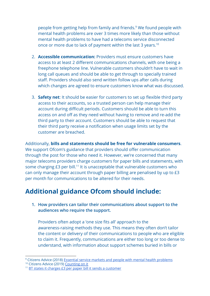people from getting help from family and friends.<sup>9</sup> We found people with mental health problems are over 3 times more likely than those without mental health problems to have had a telecoms service disconnected once or more due to lack of payment within the last 3 years.<sup>10</sup>

- 2. **Accessible communication:** Providers must ensure customers have access to at least 2 different communications channels, with one being a freephone telephone line. Vulnerable customers shouldn't have to wait in long call queues and should be able to get through to specially trained staff. Providers should also send written follow ups after calls during which changes are agreed to ensure customers know what was discussed.
- 3. **Safety net**: It should be easier for customers to set up flexible third party access to their accounts, so a trusted person can help manage their account during difficult periods. Customers should be able to turn this access on and off as they need without having to remove and re-add the third party to their account. Customers should be able to request that their third party receive a notification when usage limits set by the customer are breached.

Additionally, **bills and statements should be free for vulnerable consumers**. We support Ofcom's guidance that providers should offer communication through the post for those who need it. However, we're concerned that many major telecoms providers charge customers for paper bills and statements, with some charging £3 per bill.<sup>11</sup> It is unacceptable that vulnerable customers who can only manage their account through paper billing are penalised by up to £3 per month for communications to be altered for their needs.

## **Additional guidance Ofcom should include:**

**1. How providers can tailor their communications about support to the audiences who require the support.**

Providers often adopt a 'one size fits all' approach to the awareness-raising methods they use. This means they often don't tailor the content or delivery of their communications to people who are eligible to claim it. Frequently, communications are either too long or too dense to understand, with information about support schemes buried in bills or

<sup>&</sup>lt;sup>9</sup> Citizens Advice (2018) Essential service markets and people with mental health [problems](https://www.citizensadvice.org.uk/Global/CitizensAdvice/Consumer%20publications/Essential%20service%20markets%20and%20people%20with%20mental%20health%20problems_Report%20from%20BritainThinks%20Final.pdf)

<sup>&</sup>lt;sup>10</sup> Citizens Advice (2019) [Counting](https://www.citizensadvice.org.uk/Global/CitizensAdvice/Consumer%20publications/Minimum%20standards%20report%20-%20final%20version.pdf) on it

<sup>11</sup> BT states it charges £3 per paper bill it sends a [customer](http://bt.custhelp.com/app/answers/detail/a_id/12808/related/1)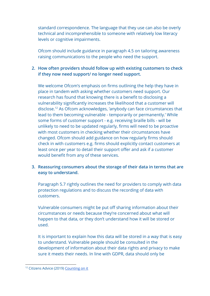standard correspondence. The language that they use can also be overly technical and incomprehensible to someone with relatively low literacy levels or cognitive impairments.

Ofcom should include guidance in paragraph 4.5 on tailoring awareness raising communications to the people who need the support.

#### **2. How often providers should follow up with existing customers to check if they now need support/ no longer need support.**

We welcome Ofcom's emphasis on firms outlining the help they have in place in tandem with asking whether customers need support. Our research has found that knowing there is a benefit to disclosing a vulnerability significantly increases the likelihood that a customer will disclose.<sup>12</sup> As Ofcom acknowledges, 'anybody can face circumstances that lead to them becoming vulnerable - temporarily or permanently.' While some forms of customer support - e.g. receiving braille bills - will be unlikely to need to be updated regularly, firms will need to be proactive with most customers in checking whether their circumstances have changed. Ofcom should add guidance on how regularly firms should check in with customers e.g. firms should explicitly contact customers at least once per year to detail their support offer and ask if a customer would benefit from any of these services.

#### **3. Reassuring consumers about the storage of their data in terms that are easy to understand.**

Paragraph 5.7 rightly outlines the need for providers to comply with data protection regulations and to discuss the recording of data with customers.

Vulnerable consumers might be put off sharing information about their circumstances or needs because they're concerned about what will happen to that data, or they don't understand how it will be stored or used.

It is important to explain how this data will be stored in a way that is easy to understand. Vulnerable people should be consulted in the development of information about their data rights and privacy to make sure it meets their needs. In line with GDPR, data should only be

<sup>&</sup>lt;sup>12</sup> Citizens Advice (2019) [Counting](https://www.citizensadvice.org.uk/about-us/policy/policy-research-topics/consumer-policy-research/consumer-policy-research/counting-on-it-cross-sector-minimum-standards-of-support-for-people-with-mental-health-problems/) on it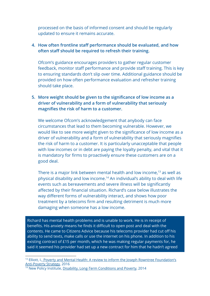processed on the basis of informed consent and should be regularly updated to ensure it remains accurate.

#### **4. How often frontline staff performance should be evaluated, and how often staff should be required to refresh their training.**

Ofcom's guidance encourages providers to gather regular customer feedback, monitor staff performance and provide staff training. This is key to ensuring standards don't slip over time. Additional guidance should be provided on how often performance evaluation and refresher training should take place.

#### **5. More weight should be given to the significance of low income as a driver of vulnerability and a form of vulnerability that seriously magnifies the risk of harm to a customer.**

We welcome Ofcom's acknowledgement that anybody can face circumstances that lead to them becoming vulnerable. However, we would like to see more weight given to the significance of low income as a driver of vulnerability and a form of vulnerability that seriously magnifies the risk of harm to a customer. It is particularly unacceptable that people with low incomes or in debt are paying the loyalty penalty, and vital that it is mandatory for firms to proactively ensure these customers are on a good deal.

There is a major link between mental health and low income, $13$  as well as physical disability and low income.<sup>14</sup> An individual's ability to deal with life events such as bereavements and severe illness will be significantly affected by their financial situation. Richard's case below illustrates the way different forms of vulnerability interact, and shows how poor treatment by a telecoms firm and resulting detriment is much more damaging when someone has a low income.

Richard has mental health problems and is unable to work. He is in receipt of benefits. His anxiety means he finds it difficult to open post and deal with the contents. He came to Citizens Advice because his telecoms provider had cut off his ability to send texts, make calls or use the internet on his phone. In addition to his existing contract of £15 per month, which he was making regular payments for, he said it seemed his provider had set up a new contract for him that he hadn't agreed

<sup>&</sup>lt;sup>13</sup> Elliott, I., Poverty and Mental Health: A review to inform the Joseph Rowntree [Foundation's](https://www.mentalhealth.org.uk/sites/default/files/Poverty%20and%20Mental%20Health.pdf) [Anti-Poverty](https://www.mentalhealth.org.uk/sites/default/files/Poverty%20and%20Mental%20Health.pdf) Strategy, 2016

<sup>&</sup>lt;sup>14</sup> New Policy Institute, Disability, [Long-Term](https://www.npi.org.uk/files/7814/0490/1005/Disability_long_term_conditions_and_poverty.pdf) Conditions and Poverty, 2014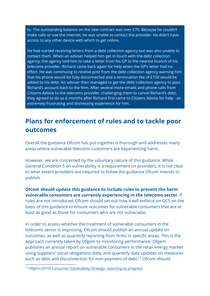to. The outstanding balance on the new contract was over £70. Because he couldn't make calls or use the internet, he was unable to contact the provider. He didn't have access to any other device with which to get online.

He had started receiving letters from a debt collection agency but was also unable to contact them. When an adviser helped him get in touch with the debt collection agency, the agency told him to take a letter from his GP to the nearest branch of his telecoms provider. Richard came back again for help when the GP's letter had no effect. He was continuing to receive post from the debt collection agency warning him that his phone would be fully disconnected and a termination fee of £150 would be added to his debt. An adviser then managed to get the debt collection agency to pass Richard's account back to the firm. After several more emails and phone calls from Citizens Advice to the telecoms provider, challenging them to cancel Richard's debt, they agreed to do so 6 months after Richard first came to Citizens Advice for help - an extremely frustrating and distressing experience for him.

## **Plans for enforcement of rules and to tackle poor outcomes**

Overall the guidance Ofcom has put together is thorough and addresses many areas where vulnerable telecoms customers are experiencing harm.

However, we are concerned by the voluntary nature of this guidance. While General Condition 5 on vulnerability is a requirement on providers, it is not clear to what extent providers are required to follow the guidance Ofcom intends to publish.

**Ofcom should update this guidance to include rules to prevent the harm vulnerable consumers are currently experiencing in the telecoms sector**. If rules are not introduced, Ofcom should set out how it will enforce on GC5 on the basis of this guidance to ensure outcomes for vulnerable consumers that are at least as good as those for consumers who are not vulnerable.

In order to assess whether the treatment of vulnerable consumers in the telecoms sector is improving, Ofcom should publish an annual update on outcomes, as well as quarterly reporting from firms in specific areas. This is the approach currently taken by Ofgem to monitoring performance. Ofgem publishes an annual report on vulnerable consumers in the retail energy market using suppliers' social obligations data, and quarterly data updates on measures such as debt and disconnection for non-payment of debt.<sup>15</sup> Ofcom should

<sup>&</sup>lt;sup>15</sup> Ofgem (2019) Consumer [Vulnerability](https://www.ofgem.gov.uk/about-us/how-we-work/working-consumers/protecting-and-empowering-consumers-vulnerable-situations/consumer-vulnerability-strategy/consumer-vulnerability-strategy-reporting-progress) Strategy: reporting on progress